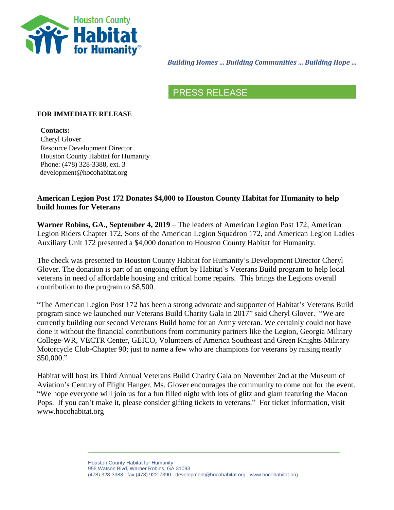

*Building Homes … Building Communities … Building Hope …*

## PRESS RELEASE

### **FOR IMMEDIATE RELEASE**

**Contacts:** Cheryl Glover Resource Development Director Houston County Habitat for Humanity Phone: (478) 328-3388, ext. 3 development@hocohabitat.org

### **American Legion Post 172 Donates \$4,000 to Houston County Habitat for Humanity to help build homes for Veterans**

**Warner Robins, GA., September 4, 2019** – The leaders of American Legion Post 172, American Legion Riders Chapter 172, Sons of the American Legion Squadron 172, and American Legion Ladies Auxiliary Unit 172 presented a \$4,000 donation to Houston County Habitat for Humanity.

The check was presented to Houston County Habitat for Humanity's Development Director Cheryl Glover. The donation is part of an ongoing effort by Habitat's Veterans Build program to help local veterans in need of affordable housing and critical home repairs. This brings the Legions overall contribution to the program to \$8,500.

"The American Legion Post 172 has been a strong advocate and supporter of Habitat's Veterans Build program since we launched our Veterans Build Charity Gala in 2017" said Cheryl Glover. "We are currently building our second Veterans Build home for an Army veteran. We certainly could not have done it without the financial contributions from community partners like the Legion, Georgia Military College-WR, VECTR Center, GEICO, Volunteers of America Southeast and Green Knights Military Motorcycle Club-Chapter 90; just to name a few who are champions for veterans by raising nearly \$50,000."

Habitat will host its Third Annual Veterans Build Charity Gala on November 2nd at the Museum of Aviation's Century of Flight Hanger. Ms. Glover encourages the community to come out for the event. "We hope everyone will join us for a fun filled night with lots of glitz and glam featuring the Macon Pops. If you can't make it, please consider gifting tickets to veterans." For ticket information, visit www.hocohabitat.org

> Houston County Habitat for Humanity 955 Watson Blvd, Warner Robins, GA 31093 (478) 328-3388 fax (478) 922-7390 development@hocohabitat.org www.hocohabitat.org